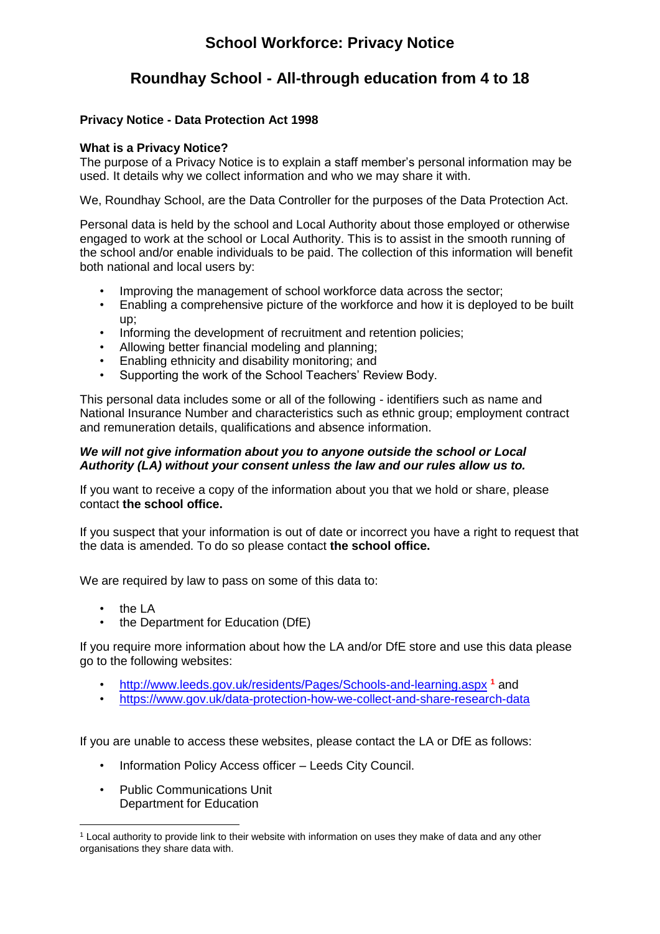# **School Workforce: Privacy Notice**

# **Roundhay School - All-through education from 4 to 18**

### **Privacy Notice - Data Protection Act 1998**

### **What is a Privacy Notice?**

The purpose of a Privacy Notice is to explain a staff member's personal information may be used. It details why we collect information and who we may share it with.

We, Roundhay School, are the Data Controller for the purposes of the Data Protection Act.

Personal data is held by the school and Local Authority about those employed or otherwise engaged to work at the school or Local Authority. This is to assist in the smooth running of the school and/or enable individuals to be paid. The collection of this information will benefit both national and local users by:

- Improving the management of school workforce data across the sector;
- Enabling a comprehensive picture of the workforce and how it is deployed to be built up;
- Informing the development of recruitment and retention policies;
- Allowing better financial modeling and planning;
- Enabling ethnicity and disability monitoring; and
- Supporting the work of the School Teachers' Review Body.

This personal data includes some or all of the following - identifiers such as name and National Insurance Number and characteristics such as ethnic group; employment contract and remuneration details, qualifications and absence information.

#### *We will not give information about you to anyone outside the school or Local Authority (LA) without your consent unless the law and our rules allow us to.*

If you want to receive a copy of the information about you that we hold or share, please contact **the school office.** 

If you suspect that your information is out of date or incorrect you have a right to request that the data is amended. To do so please contact **the school office.** 

We are required by law to pass on some of this data to:

• the LA

1

• the Department for Education (DfE)

If you require more information about how the LA and/or DfE store and use this data please go to the following websites:

- <http://www.leeds.gov.uk/residents/Pages/Schools-and-learning.aspx> **<sup>1</sup>** and
- <https://www.gov.uk/data-protection-how-we-collect-and-share-research-data>

If you are unable to access these websites, please contact the LA or DfE as follows:

- Information Policy Access officer Leeds City Council.
- Public Communications Unit Department for Education

<sup>1</sup> Local authority to provide link to their website with information on uses they make of data and any other organisations they share data with.